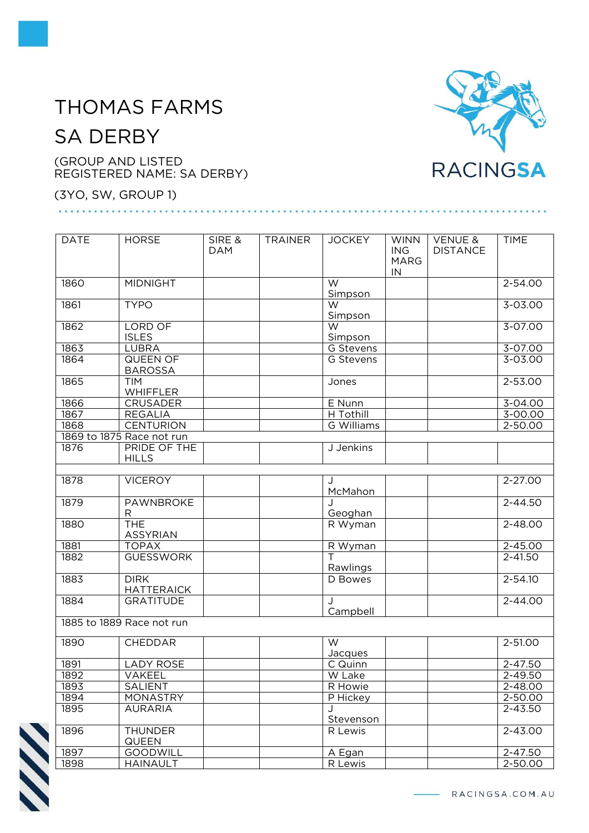## THOMAS FARMS

## SA DERBY

(GROUP AND LISTED REGISTERED NAME: SA DERBY)

(3YO, SW, GROUP 1)

## DATE HORSE SIRE & DAM TRAINER JOCKEY WINN ING MARG IN VENUE & DISTANCE TIME 1860 MIDNIGHT W Simpson 2-54.00 1861 TYPO W Simpson 3-03.00 1862 LORD OF ISLES W **Simpson** 3-07.00 1863 | LUBRA | | | | | | | G Stevens | | | | | | | 3-07.00 1864 QUEEN OF BAROSSA G Stevens | | | | | | | | 3-03.00 1865 TIM WHIFFLER Jones 2-53.00 1866 CRUSADER E Nunn E Nunn 3-04.00 1867 | REGALIA | | H Tothill | | 3-00.00 1868 CENTURION | | | G Williams | | | 2-50.00 1869 to 1875 Race not run 1876 PRIDE OF THE HILLS J Jenkins 1878 | VICEROY McMahon 2-27.00 1879 | PAWNBROKE R J Geoghan 2-44.50 1880 THE ASSYRIAN<br>TOPAX R Wyman 2-48.00 1881 | TOPAX | R Wyman | 2-45.00 1882 GUESSWORK T Rawlings 2-41.50 1883 DIRK **HATTERAICK** D Bowes 2-54.10 1884 GRATITUDE | J Campbell 2-44.00 1885 to 1889 Race not run 1890 CHEDDAR W Jacques 2-51.00 1891 LADY ROSE C Quinn C Quinn 2-47.50<br>1892 VAKEEL W Lake V 2-49.50 1892 | VAKEEL | | W Lake | | | 2-49.50 1893 SALIENT R Howie 2-48.00 1894 MONASTRY P Hickey 2-50.00 AURARIA J Stevenson  $7 - 43.50$ 1896 THUNDER<br>
1897 GOODWIL<br>
1898 HAINAULT **QUEEN** R Lewis 2-43.00 1897 GOODWILL A Egan 2-47.50<br>1898 HAINAULT R Lewis 2-50.00 1898 HAINAULT R Lewis 2-50.00



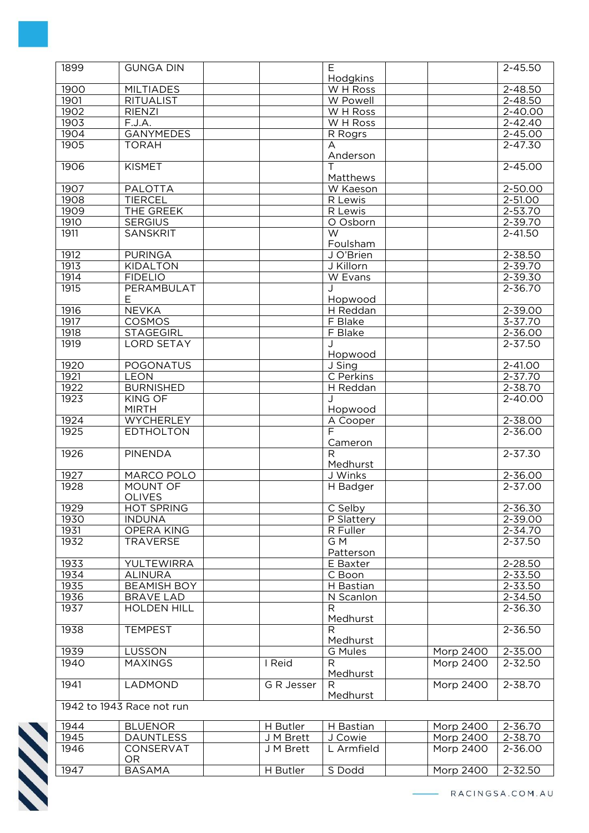| 1899         | <b>GUNGA DIN</b>                   |            | E                                   |                  | $2 - 45.50$ |
|--------------|------------------------------------|------------|-------------------------------------|------------------|-------------|
| 1900         | <b>MILTIADES</b>                   |            | Hodgkins<br>W H Ross                |                  | 2-48.50     |
| 1901         | <b>RITUALIST</b>                   |            | W Powell                            |                  | $2 - 48.50$ |
|              |                                    |            |                                     |                  |             |
| 1902         | <b>RIENZI</b>                      |            | W H Ross                            |                  | 2-40.00     |
| 1903         | F.J.A.                             |            | W H Ross                            |                  | $2 - 42.40$ |
| 1904         | <b>GANYMEDES</b>                   |            | R Rogrs                             |                  | 2-45.00     |
| 1905         | <b>TORAH</b>                       |            | A<br>Anderson                       |                  | $2 - 47.30$ |
| 1906         | <b>KISMET</b>                      |            |                                     |                  | 2-45.00     |
| 1907         | <b>PALOTTA</b>                     |            | Matthews<br>W Kaeson                |                  | 2-50.00     |
| 1908         | <b>TIERCEL</b>                     |            | R Lewis                             |                  | $2 - 51.00$ |
| 1909         | THE GREEK                          |            | R Lewis                             |                  | $2 - 53.70$ |
|              |                                    |            |                                     |                  |             |
| 1910<br>1911 | <b>SERGIUS</b>                     |            | O Osborn<br>$\overline{\mathsf{W}}$ |                  | 2-39.70     |
|              | <b>SANSKRIT</b>                    |            | Foulsham                            |                  | $2 - 41.50$ |
| 1912         | <b>PURINGA</b>                     |            | J O'Brien                           |                  | 2-38.50     |
| 1913         | <b>KIDALTON</b>                    |            | J Killorn                           |                  | 2-39.70     |
| 1914         | <b>FIDELIO</b>                     |            | W Evans                             |                  | 2-39.30     |
| 1915         | PERAMBULAT                         |            | J                                   |                  | $2 - 36.70$ |
|              | Е                                  |            | Hopwood                             |                  |             |
| 1916         | <b>NEVKA</b>                       |            | H Reddan                            |                  | $2 - 39.00$ |
| 1917         | <b>COSMOS</b>                      |            | F Blake                             |                  | $3 - 37.70$ |
| 1918         | <b>STAGEGIRL</b>                   |            | F Blake                             |                  | 2-36.00     |
| 1919         | <b>LORD SETAY</b>                  |            |                                     |                  | 2-37.50     |
|              |                                    |            | Hopwood                             |                  |             |
| 1920         | <b>POGONATUS</b>                   |            | J Sing                              |                  | 2-41.00     |
| 1921         | <b>LEON</b>                        |            | C Perkins                           |                  | $2 - 37.70$ |
| 1922         |                                    |            |                                     |                  | $2 - 38.70$ |
|              | <b>BURNISHED</b>                   |            | H Reddan                            |                  |             |
| 1923         | <b>KING OF</b><br><b>MIRTH</b>     |            | Hopwood                             |                  | 2-40.00     |
| 1924         | <b>WYCHERLEY</b>                   |            | A Cooper                            |                  | $2 - 38.00$ |
| 1925         | <b>EDTHOLTON</b>                   |            | F.                                  |                  | 2-36.00     |
|              |                                    |            | Cameron                             |                  |             |
| 1926         | <b>PINENDA</b>                     |            | $\mathsf{R}$                        |                  | 2-37.30     |
|              |                                    |            | Medhurst                            |                  |             |
| 1927         | MARCO POLO                         |            | J Winks                             |                  | $2 - 36.00$ |
| 1928         | MOUNT OF                           |            | H Badger                            |                  | 2-37.00     |
| 1929         | <b>OLIVES</b><br><b>HOT SPRING</b> |            | C Selby                             |                  | $2 - 36.30$ |
|              |                                    |            |                                     |                  |             |
| 1930         | <b>INDUNA</b>                      |            | P Slattery                          |                  | 2-39.00     |
| 1931         | OPERA KING                         |            | R Fuller                            |                  | 2-34.70     |
| 1932         | <b>TRAVERSE</b>                    |            | G M                                 |                  | 2-37.50     |
|              |                                    |            | Patterson                           |                  |             |
| 1933         | <b>YULTEWIRRA</b>                  |            | E Baxter                            |                  | 2-28.50     |
| 1934         | <b>ALINURA</b>                     |            | C Boon                              |                  | 2-33.50     |
| 1935         | <b>BEAMISH BOY</b>                 |            | H Bastian                           |                  | $2 - 33.50$ |
| 1936         | <b>BRAVE LAD</b>                   |            | N Scanlon                           |                  | 2-34.50     |
| 1937         | <b>HOLDEN HILL</b>                 |            | R<br>Medhurst                       |                  | $2 - 36.30$ |
| 1938         | <b>TEMPEST</b>                     |            | $\mathsf{R}$                        |                  | 2-36.50     |
|              |                                    |            | Medhurst                            |                  |             |
| 1939         | LUSSON                             |            | G Mules                             | Morp 2400        | 2-35.00     |
| 1940         | <b>MAXINGS</b>                     | I Reid     | R                                   | Morp 2400        | $2 - 32.50$ |
|              |                                    |            | Medhurst                            |                  |             |
| 1941         | LADMOND                            | G R Jesser | R                                   | <b>Morp 2400</b> | $2 - 38.70$ |
|              |                                    |            | Medhurst                            |                  |             |
|              | 1942 to 1943 Race not run          |            |                                     |                  |             |
| 1944         | <b>BLUENOR</b>                     | H Butler   | H Bastian                           | Morp 2400        | 2-36.70     |
| 1945         | <b>DAUNTLESS</b>                   | J M Brett  | J Cowie                             | Morp 2400        | 2-38.70     |
| 1946         | CONSERVAT                          | J M Brett  | L Armfield                          | Morp 2400        | 2-36.00     |
|              | <b>OR</b>                          |            |                                     |                  |             |
|              | <b>BASAMA</b>                      | H Butler   | S Dodd                              | Morp 2400        | 2-32.50     |
| 1947         |                                    |            |                                     |                  |             |

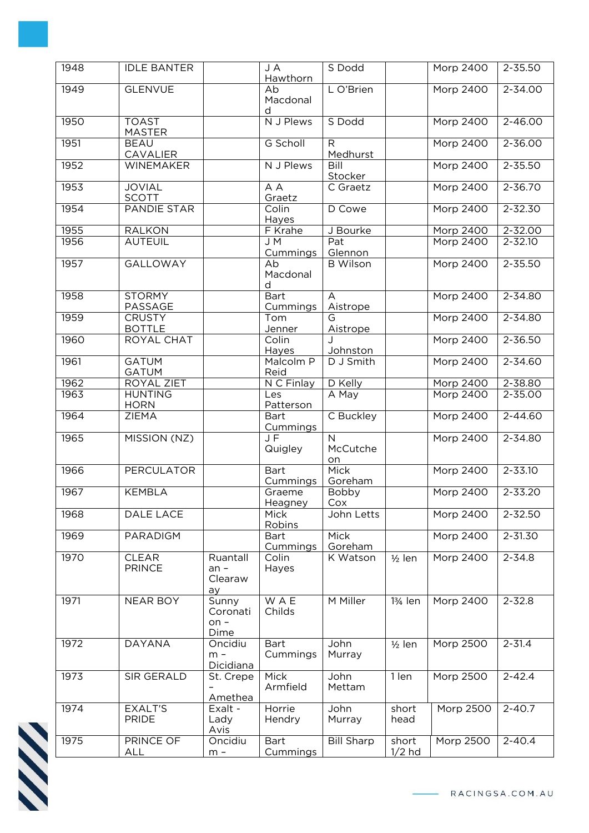| 1948 | <b>IDLE BANTER</b>             |                                     | J A<br>Hawthorn          | S Dodd                           |                      | Morp 2400        | 2-35.50     |
|------|--------------------------------|-------------------------------------|--------------------------|----------------------------------|----------------------|------------------|-------------|
| 1949 | <b>GLENVUE</b>                 |                                     | Ab<br>Macdonal<br>d      | L O'Brien                        |                      | <b>Morp 2400</b> | $2 - 34.00$ |
| 1950 | <b>TOAST</b><br><b>MASTER</b>  |                                     | N J Plews                | S Dodd                           |                      | <b>Morp 2400</b> | 2-46.00     |
| 1951 | <b>BEAU</b><br>CAVALIER        |                                     | G Scholl                 | R<br>Medhurst                    |                      | Morp 2400        | 2-36.00     |
| 1952 | WINEMAKER                      |                                     | N J Plews                | Bill<br>Stocker                  |                      | Morp 2400        | 2-35.50     |
| 1953 | <b>JOVIAL</b><br><b>SCOTT</b>  |                                     | A A<br>Graetz            | C Graetz                         |                      | <b>Morp 2400</b> | $2 - 36.70$ |
| 1954 | <b>PANDIE STAR</b>             |                                     | Colin<br>Hayes           | D Cowe                           |                      | Morp 2400        | 2-32.30     |
| 1955 | <b>RALKON</b>                  |                                     | F Krahe                  | J Bourke                         |                      | Morp 2400        | 2-32.00     |
| 1956 | <b>AUTEUIL</b>                 |                                     | J M<br>Cummings          | Pat<br>Glennon                   |                      | <b>Morp 2400</b> | $2 - 32.10$ |
| 1957 | <b>GALLOWAY</b>                |                                     | Ab<br>Macdonal<br>d      | <b>B</b> Wilson                  |                      | Morp 2400        | 2-35.50     |
| 1958 | <b>STORMY</b><br>PASSAGE       |                                     | <b>Bart</b><br>Cummings  | A<br>Aistrope                    |                      | Morp 2400        | $2 - 34.80$ |
| 1959 | <b>CRUSTY</b><br><b>BOTTLE</b> |                                     | Tom<br>Jenner            | G<br>Aistrope                    |                      | <b>Morp 2400</b> | 2-34.80     |
| 1960 | <b>ROYAL CHAT</b>              |                                     | Colin<br>Hayes           | Johnston                         |                      | Morp 2400        | 2-36.50     |
| 1961 | <b>GATUM</b><br><b>GATUM</b>   |                                     | Malcolm P<br>Reid        | D J Smith                        |                      | Morp 2400        | 2-34.60     |
| 1962 | ROYAL ZIET                     |                                     | N C Finlay               | D Kelly                          |                      | Morp 2400        | 2-38.80     |
| 1963 | <b>HUNTING</b><br><b>HORN</b>  |                                     | Les<br>Patterson         | A May                            |                      | Morp 2400        | 2-35.00     |
| 1964 | <b>ZIEMA</b>                   |                                     | <b>Bart</b><br>Cummings  | C Buckley                        |                      | Morp 2400        | 2-44.60     |
| 1965 | MISSION (NZ)                   |                                     | JF<br>Quigley            | $\overline{N}$<br>McCutche<br>on |                      | <b>Morp 2400</b> | 2-34.80     |
| 1966 | <b>PERCULATOR</b>              |                                     | <b>Bart</b><br>Cummings  | <b>Mick</b><br>Goreham           |                      | <b>Morp 2400</b> | $2 - 33.10$ |
| 1967 | <b>KEMBLA</b>                  |                                     | Graeme<br><b>Heagney</b> | Bobby<br>Cox                     |                      | <b>Morp 2400</b> | $2 - 33.20$ |
| 1968 | DALE LACE                      |                                     | Mick<br>Robins           | John Letts                       |                      | Morp 2400        | 2-32.50     |
| 1969 | PARADIGM                       |                                     | Bart<br>Cummings         | Mick<br>Goreham                  |                      | Morp 2400        | 2-31.30     |
| 1970 | <b>CLEAR</b><br><b>PRINCE</b>  | Ruantall<br>$an -$<br>Clearaw<br>ay | Colin<br>Hayes           | K Watson                         | $1/2$ len            | <b>Morp 2400</b> | $2 - 34.8$  |
| 1971 | <b>NEAR BOY</b>                | Sunny<br>Coronati<br>$on -$<br>Dime | <b>WAE</b><br>Childs     | M Miller                         | 13/ <sub>4</sub> len | Morp 2400        | $2 - 32.8$  |
| 1972 | <b>DAYANA</b>                  | Oncidiu<br>$m -$<br>Dicidiana       | <b>Bart</b><br>Cummings  | John<br>Murray                   | $1/2$ len            | <b>Morp 2500</b> | $2 - 31.4$  |
| 1973 | SIR GERALD                     | St. Crepe<br>Amethea                | <b>Mick</b><br>Armfield  | John<br>Mettam                   | 1 len                | <b>Morp 2500</b> | $2 - 42.4$  |
| 1974 | <b>EXALT'S</b><br><b>PRIDE</b> | Exalt -<br>Lady<br>Avis             | Horrie<br>Hendry         | John<br>Murray                   | short<br>head        | Morp 2500        | $2 - 40.7$  |
| 1975 | PRINCE OF<br><b>ALL</b>        | Oncidiu<br>$m -$                    | <b>Bart</b><br>Cummings  | <b>Bill Sharp</b>                | short<br>$1/2$ hd    | Morp 2500        | $2 - 40.4$  |

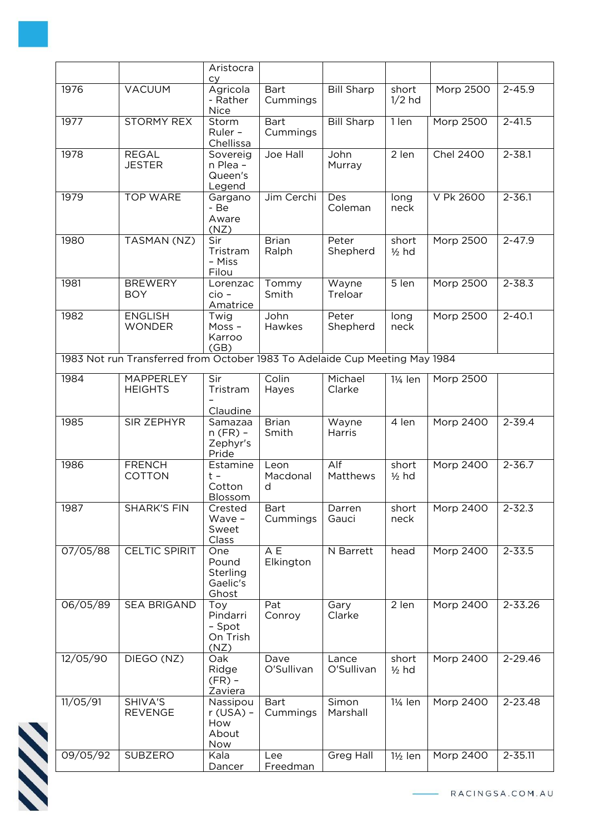|          |                                                                             | Aristocra<br><b>CV</b>                          |                              |                     |                      |                  |             |
|----------|-----------------------------------------------------------------------------|-------------------------------------------------|------------------------------|---------------------|----------------------|------------------|-------------|
| 1976     | <b>VACUUM</b>                                                               | Agricola<br>- Rather<br><b>Nice</b>             | <b>Bart</b><br>Cummings      | <b>Bill Sharp</b>   | short<br>$1/2$ hd    | Morp 2500        | $2 - 45.9$  |
| 1977     | <b>STORMY REX</b>                                                           | Storm<br>Ruler -<br>Chellissa                   | <b>Bart</b><br>Cummings      | <b>Bill Sharp</b>   | 1 len                | Morp 2500        | $2 - 41.5$  |
| 1978     | <b>REGAL</b><br><b>JESTER</b>                                               | Sovereig<br>n Plea -<br>Queen's<br>Legend       | Joe Hall                     | John<br>Murray      | 2 len                | <b>Chel 2400</b> | $2 - 38.1$  |
| 1979     | <b>TOP WARE</b>                                                             | Gargano<br>- Be<br>Aware<br>(NZ)                | Jim Cerchi                   | Des<br>Coleman      | long<br>neck         | V Pk 2600        | $2 - 36.1$  |
| 1980     | TASMAN (NZ)                                                                 | Sir<br>Tristram<br>- Miss<br>Filou              | <b>Brian</b><br>Ralph        | Peter<br>Shepherd   | short<br>$1/2$ hd    | <b>Morp 2500</b> | $2 - 47.9$  |
| 1981     | <b>BREWERY</b><br><b>BOY</b>                                                | Lorenzac<br>$cio -$<br>Amatrice                 | Tommy<br>Smith               | Wayne<br>Treloar    | 5 len                | Morp 2500        | $2 - 38.3$  |
| 1982     | <b>ENGLISH</b><br><b>WONDER</b>                                             | Twig<br>$M$ oss -<br>Karroo<br>(GB)             | John<br>Hawkes               | Peter<br>Shepherd   | long<br>neck         | Morp 2500        | $2 - 40.1$  |
|          | 1983 Not run Transferred from October 1983 To Adelaide Cup Meeting May 1984 |                                                 |                              |                     |                      |                  |             |
| 1984     | MAPPERLEY<br><b>HEIGHTS</b>                                                 | Sir<br>Tristram                                 | Colin<br>Hayes               | Michael<br>Clarke   | 11/ <sub>4</sub> len | Morp 2500        |             |
| 1985     | SIR ZEPHYR                                                                  | Claudine<br>Samazaa<br>$n$ (FR) -<br>Zephyr's   | <b>Brian</b><br>Smith        | Wayne<br>Harris     | 4 len                | Morp 2400        | $2 - 39.4$  |
| 1986     | <b>FRENCH</b><br><b>COTTON</b>                                              | Pride<br>Estamine<br>$t -$<br>Cotton<br>Blossom | Leon<br>Macdonal<br>d        | Alf<br>Matthews     | short<br>$1/2$ hd    | Morp 2400        | $2 - 36.7$  |
| 1987     | <b>SHARK'S FIN</b>                                                          | Crested<br>Wave -<br>Sweet<br>Class             | <b>Bart</b><br>Cummings      | Darren<br>Gauci     | short<br>neck        | Morp 2400        | $2 - 32.3$  |
| 07/05/88 | <b>CELTIC SPIRIT</b>                                                        | One<br>Pound<br>Sterling<br>Gaelic's<br>Ghost   | $\overline{A}E$<br>Elkington | N Barrett           | head                 | <b>Morp 2400</b> | $2 - 33.5$  |
| 06/05/89 | SEA BRIGAND                                                                 | Toy<br>Pindarri<br>- Spot<br>On Trish<br>(NZ)   | Pat<br>Conroy                | Gary<br>Clarke      | 2 len                | Morp 2400        | 2-33.26     |
| 12/05/90 | DIEGO (NZ)                                                                  | Oak<br>Ridge<br>$(FR)$ -<br>Zaviera             | Dave<br>O'Sullivan           | Lance<br>O'Sullivan | short<br>$1/2$ hd    | Morp 2400        | 2-29.46     |
| 11/05/91 | SHIVA'S<br><b>REVENGE</b>                                                   | Nassipou<br>$r$ (USA) -<br>How<br>About<br>Now  | <b>Bart</b><br>Cummings      | Simon<br>Marshall   | 1¼ len               | Morp 2400        | 2-23.48     |
| 09/05/92 | SUBZERO                                                                     | Kala<br>Dancer                                  | Lee<br>Freedman              | Greg Hall           | $1\frac{1}{2}$ len   | Morp 2400        | $2 - 35.11$ |

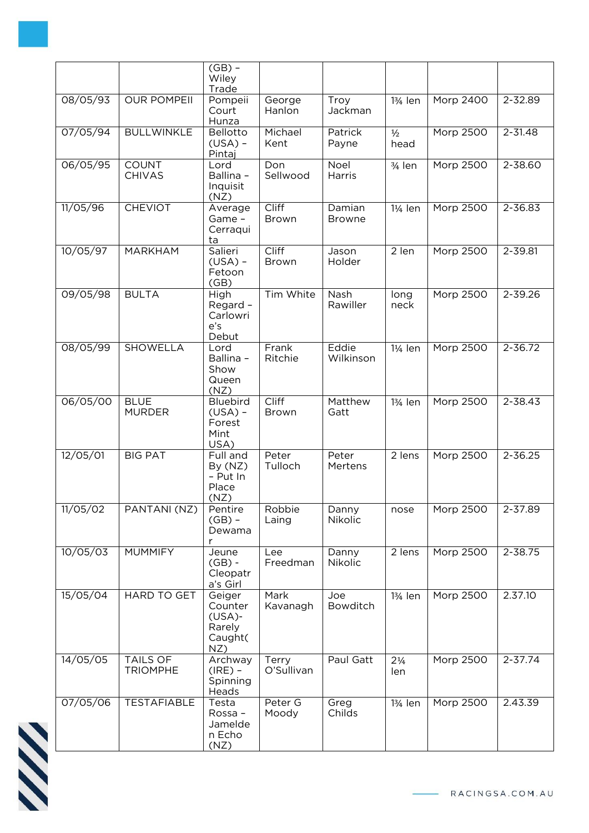|                            |                               | $(GB)$ -<br>Wiley<br>Trade                                 |                              |                         |                       |                  |             |
|----------------------------|-------------------------------|------------------------------------------------------------|------------------------------|-------------------------|-----------------------|------------------|-------------|
| 08/05/93                   | <b>OUR POMPEII</b>            | Pompeii<br>Court<br>Hunza                                  | George<br>Hanlon             | Troy<br>Jackman         | 13/ <sub>4</sub> len  | Morp 2400        | 2-32.89     |
| 07/05/94                   | <b>BULLWINKLE</b>             | Bellotto<br>$(USA) -$<br>Pintaj                            | Michael<br>Kent              | Patrick<br>Payne        | $\frac{1}{2}$<br>head | Morp 2500        | $2 - 31.48$ |
| 06/05/95                   | <b>COUNT</b><br><b>CHIVAS</b> | Lord<br>Ballina -<br>Inquisit<br>(NZ)                      | Don<br>Sellwood              | Noel<br>Harris          | $3/4$ len             | Morp 2500        | 2-38.60     |
| 11/05/96                   | <b>CHEVIOT</b>                | Average<br>Game -<br>Cerraqui<br>ta                        | Cliff<br><b>Brown</b>        | Damian<br><b>Browne</b> | 1¼ len                | <b>Morp 2500</b> | 2-36.83     |
| 10/05/97                   | MARKHAM                       | Salieri<br>$(USA) -$<br>Fetoon<br>(GB)                     | <b>Cliff</b><br>Brown        | Jason<br>Holder         | 2 len                 | Morp 2500        | 2-39.81     |
| $\frac{09}{05}{\sqrt{98}}$ | <b>BULTA</b>                  | High<br>Regard -<br>Carlowri<br>e's<br>Debut               | Tim White                    | Nash<br>Rawiller        | long<br>neck          | Morp 2500        | 2-39.26     |
| 08/05/99                   | SHOWELLA                      | Lord<br>Ballina -<br>Show<br>Queen<br>(NZ)                 | Frank<br>Ritchie             | Eddie<br>Wilkinson      | 11/ <sub>4</sub> len  | Morp 2500        | 2-36.72     |
| 06/05/00                   | <b>BLUE</b><br><b>MURDER</b>  | <b>Bluebird</b><br>$(USA) -$<br>Forest<br>Mint<br>USA)     | <b>Cliff</b><br><b>Brown</b> | Matthew<br>Gatt         | 13/ <sub>4</sub> len  | Morp 2500        | 2-38.43     |
| 12/05/01                   | <b>BIG PAT</b>                | Full and<br>By (NZ)<br>- Put In<br>Place<br>(NZ)           | Peter<br>Tulloch             | Peter<br>Mertens        | 2 lens                | Morp 2500        | $2 - 36.25$ |
| 11/05/02                   | PANTANI (NZ)                  | Pentire<br>$(GB)$ -<br>Dewama<br>r                         | Robbie<br>Laing              | Danny<br>Nikolic        | nose                  | Morp 2500        | 2-37.89     |
| 10/05/03                   | <b>MUMMIFY</b>                | Jeune<br>$(GB)$ -<br>Cleopatr<br>a's Girl                  | Lee<br>Freedman              | Danny<br>Nikolic        | 2 lens                | <b>Morp 2500</b> | 2-38.75     |
| 15/05/04                   | <b>HARD TO GET</b>            | Geiger<br>Counter<br>$(USA)$ -<br>Rarely<br>Caught(<br>NZ) | Mark<br>Kavanagh             | Joe<br>Bowditch         | 13/ <sub>4</sub> len  | Morp 2500        | 2.37.10     |
| 14/05/05                   | TAILS OF<br><b>TRIOMPHE</b>   | Archway<br>$(IRE) -$<br>Spinning<br>Heads                  | Terry<br>O'Sullivan          | Paul Gatt               | $2\frac{1}{4}$<br>len | Morp 2500        | 2-37.74     |
| 07/05/06                   | <b>TESTAFIABLE</b>            | Testa<br>Rossa-<br>Jamelde<br>n Echo<br>(NZ)               | Peter G<br>Moody             | Greg<br>Childs          | 13/ <sub>4</sub> len  | Morp 2500        | 2.43.39     |

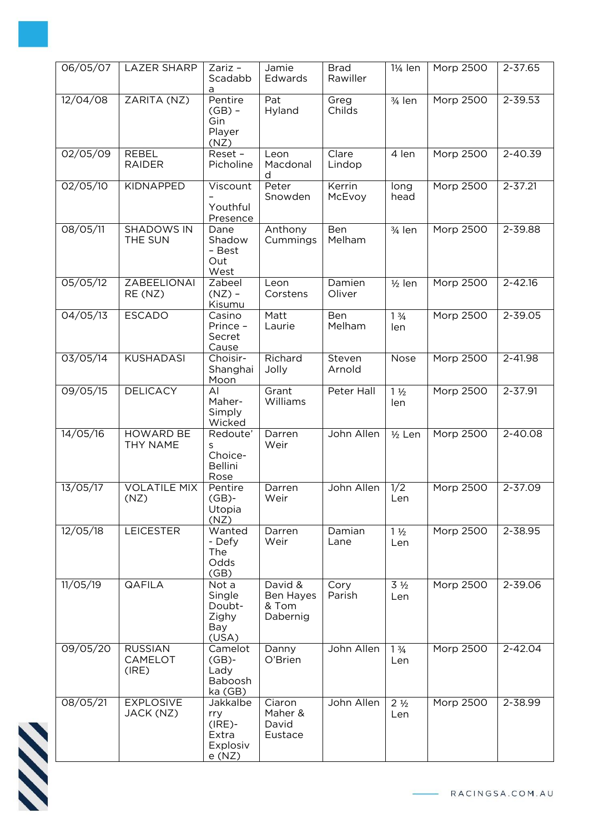| 06/05/07 | <b>LAZER SHARP</b>                 | Zariz -<br>Scadabb<br>a                                    | Jamie<br>Edwards                          | <b>Brad</b><br>Rawiller | 1¼ len                               | Morp 2500        | 2-37.65     |
|----------|------------------------------------|------------------------------------------------------------|-------------------------------------------|-------------------------|--------------------------------------|------------------|-------------|
| 12/04/08 | ZARITA (NZ)                        | Pentire<br>$(GB)$ -<br>Gin<br>Player<br>(NZ)               | Pat<br>Hyland                             | Greg<br>Childs          | 3/4 len                              | Morp 2500        | 2-39.53     |
| 02/05/09 | <b>REBEL</b><br><b>RAIDER</b>      | Reset -<br>Picholine                                       | Leon<br>Macdonal<br>d                     | Clare<br>Lindop         | 4 len                                | Morp 2500        | 2-40.39     |
| 02/05/10 | <b>KIDNAPPED</b>                   | Viscount<br>Youthful<br>Presence                           | Peter<br>Snowden                          | Kerrin<br>McEvoy        | long<br>head                         | <b>Morp 2500</b> | $2 - 37.21$ |
| 08/05/11 | <b>SHADOWS IN</b><br>THE SUN       | Dane<br>Shadow<br>- Best<br>Out<br>West                    | Anthony<br>Cummings                       | Ben<br>Melham           | 3/4 len                              | <b>Morp 2500</b> | 2-39.88     |
| 05/05/12 | <b>ZABEELIONAI</b><br>RE (NZ)      | Zabeel<br>$(NZ)$ -<br>Kisumu                               | Leon<br>Corstens                          | Damien<br>Oliver        | $1/2$ len                            | Morp 2500        | $2 - 42.16$ |
| 04/05/13 | <b>ESCADO</b>                      | Casino<br>Prince -<br>Secret<br>Cause                      | Matt<br>Laurie                            | Ben<br>Melham           | $1 \frac{3}{4}$<br>len               | <b>Morp 2500</b> | 2-39.05     |
| 03/05/14 | <b>KUSHADASI</b>                   | Choisir-<br>Shanghai<br>Moon                               | Richard<br>Jolly                          | Steven<br>Arnold        | Nose                                 | Morp 2500        | 2-41.98     |
| 09/05/15 | <b>DELICACY</b>                    | AI<br>Maher-<br>Simply<br>Wicked                           | Grant<br>Williams                         | Peter Hall              | $1\frac{1}{2}$<br>len                | Morp 2500        | 2-37.91     |
| 14/05/16 | <b>HOWARD BE</b><br>THY NAME       | Redoute'<br>S<br>Choice-<br><b>Bellini</b><br>Rose         | Darren<br>Weir                            | John Allen              | $1/2$ Len                            | <b>Morp 2500</b> | 2-40.08     |
| 13/05/17 | <b>VOLATILE MIX</b><br>(NZ)        | Pentire<br>$(GB)$ -<br>Utopia<br>(NZ)                      | Darren<br>Weir                            | John Allen              | 1/2<br>Len                           | Morp 2500        | $2 - 37.09$ |
| 12/05/18 | <b>LEICESTER</b>                   | Wanted<br>- Defy<br>The<br>Odds<br>(GB)                    | Darren<br>Weir                            | Damian<br>Lane          | $1\frac{1}{2}$<br>Len                | Morp 2500        | 2-38.95     |
| 11/05/19 | <b>QAFILA</b>                      | Not a<br>Single<br>Doubt-<br>Zighy<br>Bay<br>(USA)         | David &<br>Ben Hayes<br>& Tom<br>Dabernig | Cory<br>Parish          | $3\frac{1}{2}$<br>Len                | Morp 2500        | 2-39.06     |
| 09/05/20 | <b>RUSSIAN</b><br>CAMELOT<br>(IRE) | Camelot<br>$(GB)$ -<br>Lady<br>Baboosh<br>ka (GB)          | Danny<br>O'Brien                          | John Allen              | $1\frac{3}{4}$<br>Len                | Morp 2500        | 2-42.04     |
| 08/05/21 | <b>EXPLOSIVE</b><br>JACK (NZ)      | Jakkalbe<br>rry<br>$(IRE)$ -<br>Extra<br>Explosiv<br>e(NZ) | Ciaron<br>Maher &<br>David<br>Eustace     | John Allen              | 2 <sup>1</sup> / <sub>2</sub><br>Len | Morp 2500        | 2-38.99     |